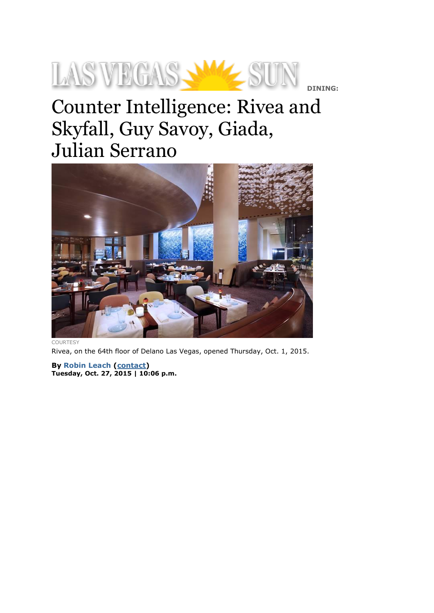## LAS VEGAS-**DINING:**

## Counter Intelligence: Rivea and Skyfall, Guy Savoy, Giada, Julian Serrano



**COURTESY** 

Rivea, on the 64th floor of Delano Las Vegas, opened Thursday, Oct. 1, 2015.

**By Robin [Leach](http://lasvegassun.com/staff/robin-leach/) [\(contact\)](http://lasvegassun.com/staff/robin-leach/contact/) Tuesday, Oct. 27, 2015 | 10:06 p.m.**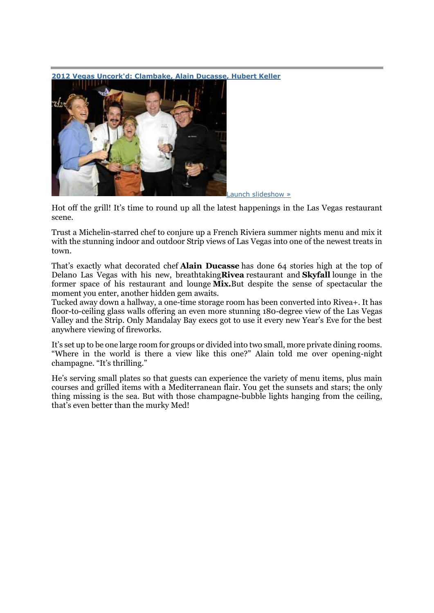

**2012 Vegas Uncork'd: [Clambake,](http://lasvegassun.com/photos/galleries/2012/may/13/2012-vegas-uncorkd-ducasse-keller-clambake/) Alain Ducasse, Hubert Keller**

Launch [slideshow](http://lasvegassun.com/photos/galleries/2012/may/13/2012-vegas-uncorkd-ducasse-keller-clambake/embed/) »

Hot off the grill! It's time to round up all the latest happenings in the Las Vegas restaurant scene.

Trust a Michelin-starred chef to conjure up a French Riviera summer nights menu and mix it with the stunning indoor and outdoor Strip views of Las Vegas into one of the newest treats in town.

That's exactly what decorated chef **Alain Ducasse** has done 64 stories high at the top of Delano Las Vegas with his new, breathtaking**Rivea** restaurant and **Skyfall** lounge in the former space of his restaurant and lounge **Mix.**But despite the sense of spectacular the moment you enter, another hidden gem awaits.

Tucked away down a hallway, a one-time storage room has been converted into Rivea+. It has floor-to-ceiling glass walls offering an even more stunning 180-degree view of the Las Vegas Valley and the Strip. Only Mandalay Bay execs got to use it every new Year's Eve for the best anywhere viewing of fireworks.

It's set up to be one large room for groups or divided into two small, more private dining rooms. "Where in the world is there a view like this one?" Alain told me over opening-night champagne. "It's thrilling."

He's serving small plates so that guests can experience the variety of menu items, plus main courses and grilled items with a Mediterranean flair. You get the sunsets and stars; the only thing missing is the sea. But with those champagne-bubble lights hanging from the ceiling, that's even better than the murky Med!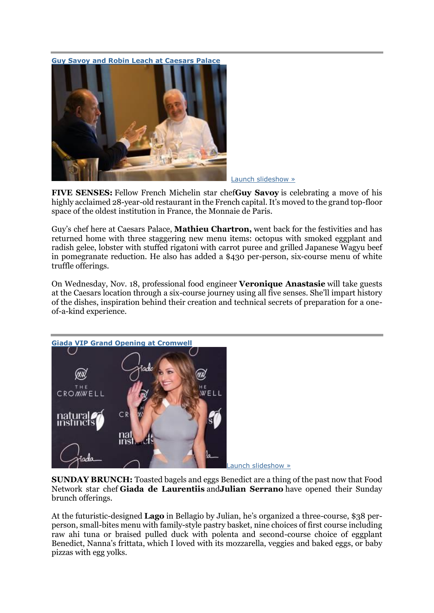**Guy Savoy and Robin Leach at [Caesars](http://lasvegassun.com/photos/galleries/2013/may/15/guy-savoy-robin-leach-mathieu-chartron-restaurant-/) Palace**



Launch [slideshow](http://lasvegassun.com/photos/galleries/2013/may/15/guy-savoy-robin-leach-mathieu-chartron-restaurant-/embed/) »

**FIVE SENSES:** Fellow French Michelin star chef**Guy Savoy** is celebrating a move of his highly acclaimed 28-year-old restaurant in the French capital. It's moved to the grand top-floor space of the oldest institution in France, the Monnaie de Paris.

Guy's chef here at Caesars Palace, **Mathieu Chartron,** went back for the festivities and has returned home with three staggering new menu items: octopus with smoked eggplant and radish gelee, lobster with stuffed rigatoni with carrot puree and grilled Japanese Wagyu beef in pomegranate reduction. He also has added a \$430 per-person, six-course menu of white truffle offerings.

On Wednesday, Nov. 18, professional food engineer **Veronique Anastasie** will take guests at the Caesars location through a six-course journey using all five senses. She'll impart history of the dishes, inspiration behind their creation and technical secrets of preparation for a oneof-a-kind experience.



Launch [slideshow](http://lasvegassun.com/photos/galleries/2014/jun/03/giada-de-laurentiis-vip-grand-opening-cromwell/embed/) »

**SUNDAY BRUNCH:** Toasted bagels and eggs Benedict are a thing of the past now that Food Network star chef **Giada de Laurentiis** and**Julian Serrano** have opened their Sunday brunch offerings.

At the futuristic-designed **Lago** in Bellagio by Julian, he's organized a three-course, \$38 perperson, small-bites menu with family-style pastry basket, nine choices of first course including raw ahi tuna or braised pulled duck with polenta and second-course choice of eggplant Benedict, Nanna's frittata, which I loved with its mozzarella, veggies and baked eggs, or baby pizzas with egg yolks.